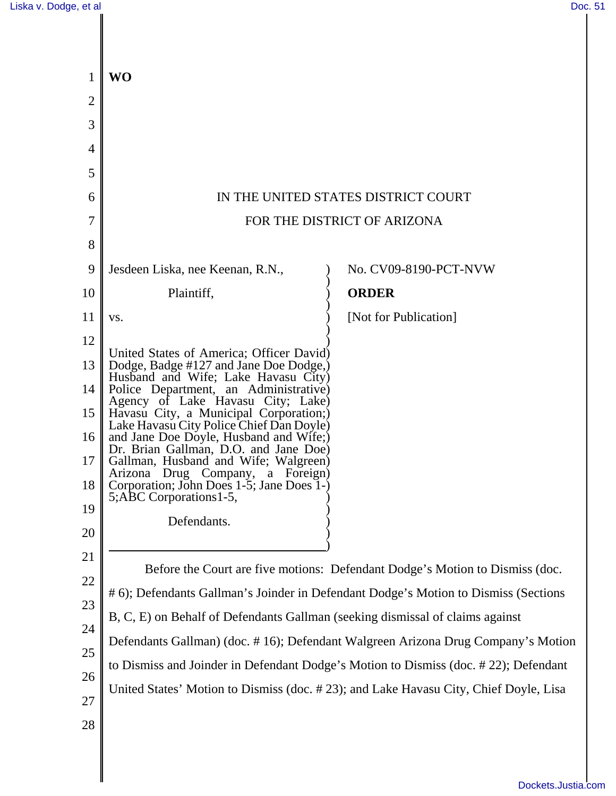| 1      | <b>WO</b>                                                                                                 |                                                                                      |
|--------|-----------------------------------------------------------------------------------------------------------|--------------------------------------------------------------------------------------|
| 2      |                                                                                                           |                                                                                      |
| 3      |                                                                                                           |                                                                                      |
| 4      |                                                                                                           |                                                                                      |
| 5      |                                                                                                           |                                                                                      |
| 6      |                                                                                                           | IN THE UNITED STATES DISTRICT COURT                                                  |
| 7      |                                                                                                           | FOR THE DISTRICT OF ARIZONA                                                          |
| 8      |                                                                                                           |                                                                                      |
| 9      | Jesdeen Liska, nee Keenan, R.N.,                                                                          | No. CV09-8190-PCT-NVW                                                                |
| 10     | Plaintiff,                                                                                                | <b>ORDER</b>                                                                         |
| 11     | VS.                                                                                                       | [Not for Publication]                                                                |
| 12     | United States of America; Officer David)                                                                  |                                                                                      |
| 13     | Dodge, Badge #127 and Jane Doe Dodge,)<br>Husband and Wife; Lake Havasu City)                             |                                                                                      |
| 14     | Police Department, an Administrative)<br>Agency of Lake Havasu City; Lake)                                |                                                                                      |
| 15     | Havasu City, a Municipal Corporation;)<br>Lake Havasu City Police Chief Dan Doyle)                        |                                                                                      |
| 16     | and Jane Doe Doyle, Husband and Wife;)<br>Dr. Brian Gallman, D.O. and Jane Doe)                           |                                                                                      |
| 17     | Gallman, Husband and Wife; Walgreen)                                                                      |                                                                                      |
| 18     | Arizona Drug Company, a Foreign)<br>Corporation; John Does 1-5; Jane Does 1-)<br>5; ABC Corporations 1-5, |                                                                                      |
| 19     | Defendants.                                                                                               |                                                                                      |
| 20     |                                                                                                           |                                                                                      |
| 21     |                                                                                                           | Before the Court are five motions: Defendant Dodge's Motion to Dismiss (doc.         |
| $22\,$ |                                                                                                           | # 6); Defendants Gallman's Joinder in Defendant Dodge's Motion to Dismiss (Sections  |
| 23     | B, C, E) on Behalf of Defendants Gallman (seeking dismissal of claims against                             |                                                                                      |
| 24     |                                                                                                           | Defendants Gallman) (doc. #16); Defendant Walgreen Arizona Drug Company's Motion     |
| 25     |                                                                                                           | to Dismiss and Joinder in Defendant Dodge's Motion to Dismiss (doc. #22); Defendant  |
| 26     |                                                                                                           | United States' Motion to Dismiss (doc. #23); and Lake Havasu City, Chief Doyle, Lisa |
| $27\,$ |                                                                                                           |                                                                                      |
| 28     |                                                                                                           |                                                                                      |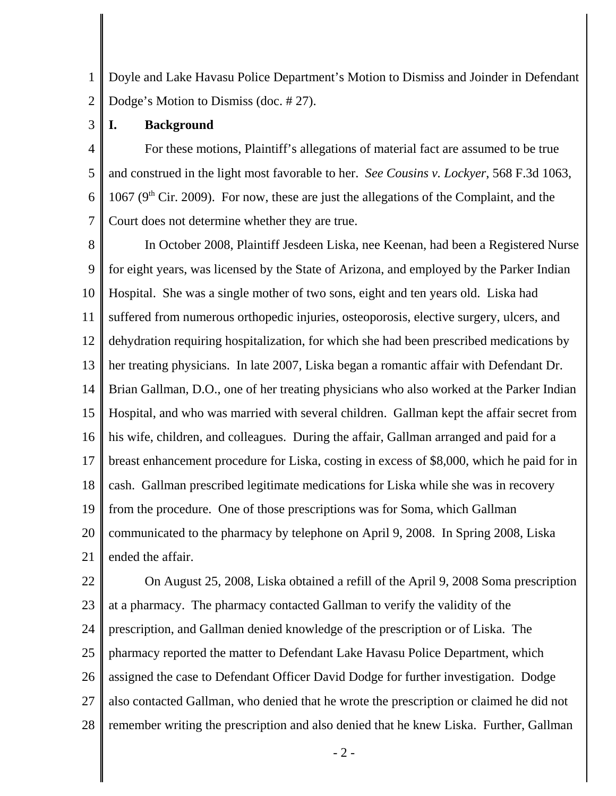1 2 Doyle and Lake Havasu Police Department's Motion to Dismiss and Joinder in Defendant Dodge's Motion to Dismiss (doc. # 27).

3 **I. Background**

4 5 6 7 For these motions, Plaintiff's allegations of material fact are assumed to be true and construed in the light most favorable to her. *See Cousins v. Lockyer*, 568 F.3d 1063, 1067 ( $9<sup>th</sup>$  Cir. 2009). For now, these are just the allegations of the Complaint, and the Court does not determine whether they are true.

8 9 10 11 12 13 14 15 16 17 18 19 20 21 In October 2008, Plaintiff Jesdeen Liska, nee Keenan, had been a Registered Nurse for eight years, was licensed by the State of Arizona, and employed by the Parker Indian Hospital. She was a single mother of two sons, eight and ten years old. Liska had suffered from numerous orthopedic injuries, osteoporosis, elective surgery, ulcers, and dehydration requiring hospitalization, for which she had been prescribed medications by her treating physicians. In late 2007, Liska began a romantic affair with Defendant Dr. Brian Gallman, D.O., one of her treating physicians who also worked at the Parker Indian Hospital, and who was married with several children. Gallman kept the affair secret from his wife, children, and colleagues. During the affair, Gallman arranged and paid for a breast enhancement procedure for Liska, costing in excess of \$8,000, which he paid for in cash. Gallman prescribed legitimate medications for Liska while she was in recovery from the procedure. One of those prescriptions was for Soma, which Gallman communicated to the pharmacy by telephone on April 9, 2008. In Spring 2008, Liska ended the affair.

22 23 24 25 26 27 28 On August 25, 2008, Liska obtained a refill of the April 9, 2008 Soma prescription at a pharmacy. The pharmacy contacted Gallman to verify the validity of the prescription, and Gallman denied knowledge of the prescription or of Liska. The pharmacy reported the matter to Defendant Lake Havasu Police Department, which assigned the case to Defendant Officer David Dodge for further investigation. Dodge also contacted Gallman, who denied that he wrote the prescription or claimed he did not remember writing the prescription and also denied that he knew Liska. Further, Gallman

- 2 -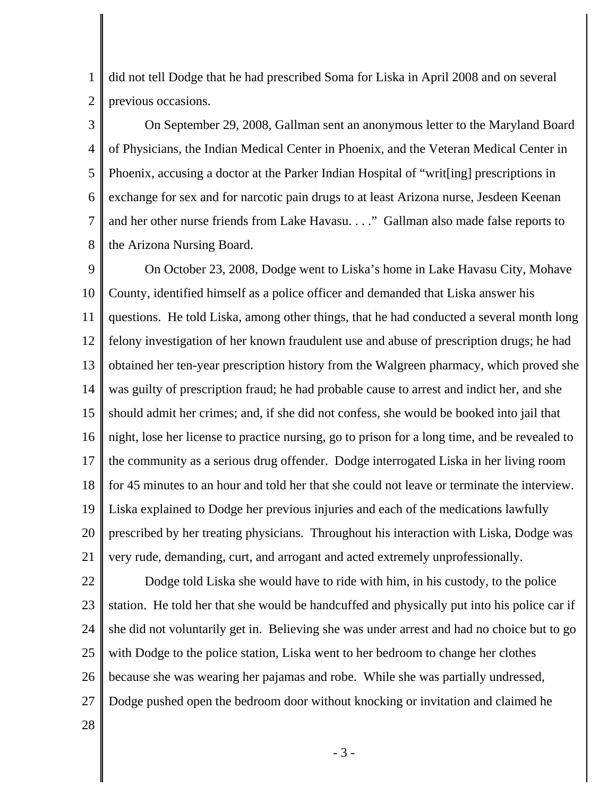1 2 did not tell Dodge that he had prescribed Soma for Liska in April 2008 and on several previous occasions.

3 4 5 6 7 8 On September 29, 2008, Gallman sent an anonymous letter to the Maryland Board of Physicians, the Indian Medical Center in Phoenix, and the Veteran Medical Center in Phoenix, accusing a doctor at the Parker Indian Hospital of "writ[ing] prescriptions in exchange for sex and for narcotic pain drugs to at least Arizona nurse, Jesdeen Keenan and her other nurse friends from Lake Havasu. . . ." Gallman also made false reports to the Arizona Nursing Board.

9 10 11 12 13 14 15 16 17 18 19 20 21 On October 23, 2008, Dodge went to Liska's home in Lake Havasu City, Mohave County, identified himself as a police officer and demanded that Liska answer his questions. He told Liska, among other things, that he had conducted a several month long felony investigation of her known fraudulent use and abuse of prescription drugs; he had obtained her ten-year prescription history from the Walgreen pharmacy, which proved she was guilty of prescription fraud; he had probable cause to arrest and indict her, and she should admit her crimes; and, if she did not confess, she would be booked into jail that night, lose her license to practice nursing, go to prison for a long time, and be revealed to the community as a serious drug offender. Dodge interrogated Liska in her living room for 45 minutes to an hour and told her that she could not leave or terminate the interview. Liska explained to Dodge her previous injuries and each of the medications lawfully prescribed by her treating physicians. Throughout his interaction with Liska, Dodge was very rude, demanding, curt, and arrogant and acted extremely unprofessionally.

22 23 24 25 26 27 Dodge told Liska she would have to ride with him, in his custody, to the police station. He told her that she would be handcuffed and physically put into his police car if she did not voluntarily get in. Believing she was under arrest and had no choice but to go with Dodge to the police station, Liska went to her bedroom to change her clothes because she was wearing her pajamas and robe. While she was partially undressed, Dodge pushed open the bedroom door without knocking or invitation and claimed he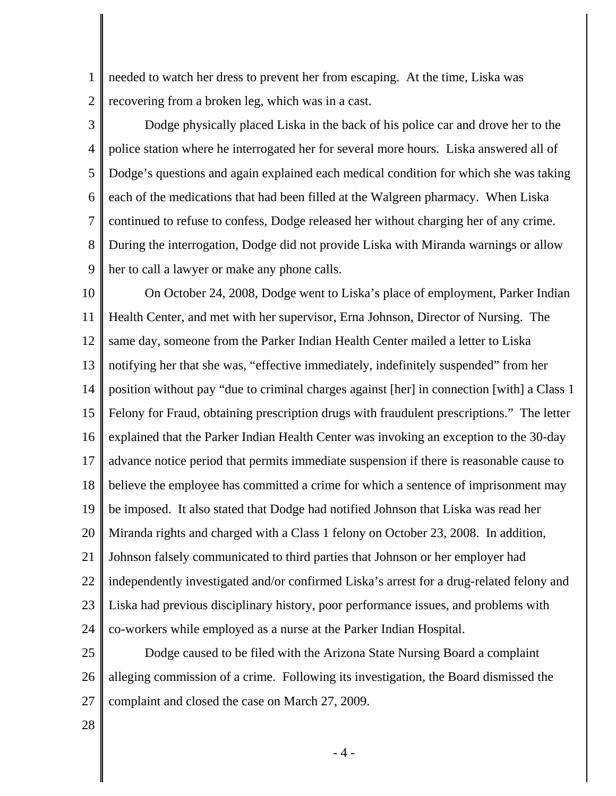1 2 needed to watch her dress to prevent her from escaping. At the time, Liska was recovering from a broken leg, which was in a cast.

3 4 5 6 7 8 9 Dodge physically placed Liska in the back of his police car and drove her to the police station where he interrogated her for several more hours. Liska answered all of Dodge's questions and again explained each medical condition for which she was taking each of the medications that had been filled at the Walgreen pharmacy. When Liska continued to refuse to confess, Dodge released her without charging her of any crime. During the interrogation, Dodge did not provide Liska with Miranda warnings or allow her to call a lawyer or make any phone calls.

10 11 12 13 14 15 16 17 18 19 20 21 22 23 24 On October 24, 2008, Dodge went to Liska's place of employment, Parker Indian Health Center, and met with her supervisor, Erna Johnson, Director of Nursing. The same day, someone from the Parker Indian Health Center mailed a letter to Liska notifying her that she was, "effective immediately, indefinitely suspended" from her position without pay "due to criminal charges against [her] in connection [with] a Class 1 Felony for Fraud, obtaining prescription drugs with fraudulent prescriptions." The letter explained that the Parker Indian Health Center was invoking an exception to the 30-day advance notice period that permits immediate suspension if there is reasonable cause to believe the employee has committed a crime for which a sentence of imprisonment may be imposed. It also stated that Dodge had notified Johnson that Liska was read her Miranda rights and charged with a Class 1 felony on October 23, 2008. In addition, Johnson falsely communicated to third parties that Johnson or her employer had independently investigated and/or confirmed Liska's arrest for a drug-related felony and Liska had previous disciplinary history, poor performance issues, and problems with co-workers while employed as a nurse at the Parker Indian Hospital.

25 26 27 Dodge caused to be filed with the Arizona State Nursing Board a complaint alleging commission of a crime. Following its investigation, the Board dismissed the complaint and closed the case on March 27, 2009.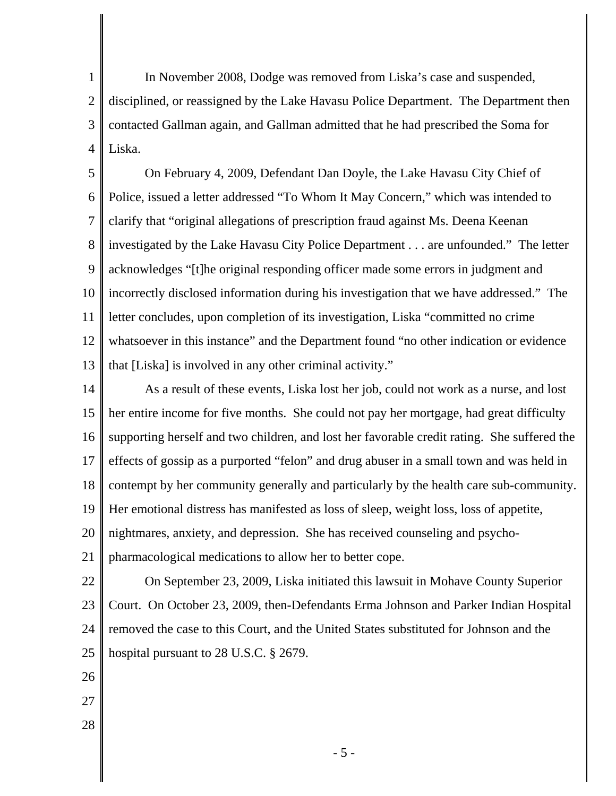1 2 3 4 In November 2008, Dodge was removed from Liska's case and suspended, disciplined, or reassigned by the Lake Havasu Police Department. The Department then contacted Gallman again, and Gallman admitted that he had prescribed the Soma for Liska.

5 6 7 8 9 10 11 12 13 On February 4, 2009, Defendant Dan Doyle, the Lake Havasu City Chief of Police, issued a letter addressed "To Whom It May Concern," which was intended to clarify that "original allegations of prescription fraud against Ms. Deena Keenan investigated by the Lake Havasu City Police Department . . . are unfounded." The letter acknowledges "[t]he original responding officer made some errors in judgment and incorrectly disclosed information during his investigation that we have addressed." The letter concludes, upon completion of its investigation, Liska "committed no crime whatsoever in this instance" and the Department found "no other indication or evidence that [Liska] is involved in any other criminal activity."

14 15 16 17 18 19 20 21 As a result of these events, Liska lost her job, could not work as a nurse, and lost her entire income for five months. She could not pay her mortgage, had great difficulty supporting herself and two children, and lost her favorable credit rating. She suffered the effects of gossip as a purported "felon" and drug abuser in a small town and was held in contempt by her community generally and particularly by the health care sub-community. Her emotional distress has manifested as loss of sleep, weight loss, loss of appetite, nightmares, anxiety, and depression. She has received counseling and psychopharmacological medications to allow her to better cope.

22 23 24 25 On September 23, 2009, Liska initiated this lawsuit in Mohave County Superior Court. On October 23, 2009, then-Defendants Erma Johnson and Parker Indian Hospital removed the case to this Court, and the United States substituted for Johnson and the hospital pursuant to 28 U.S.C. § 2679.

- 26
- 27
- 28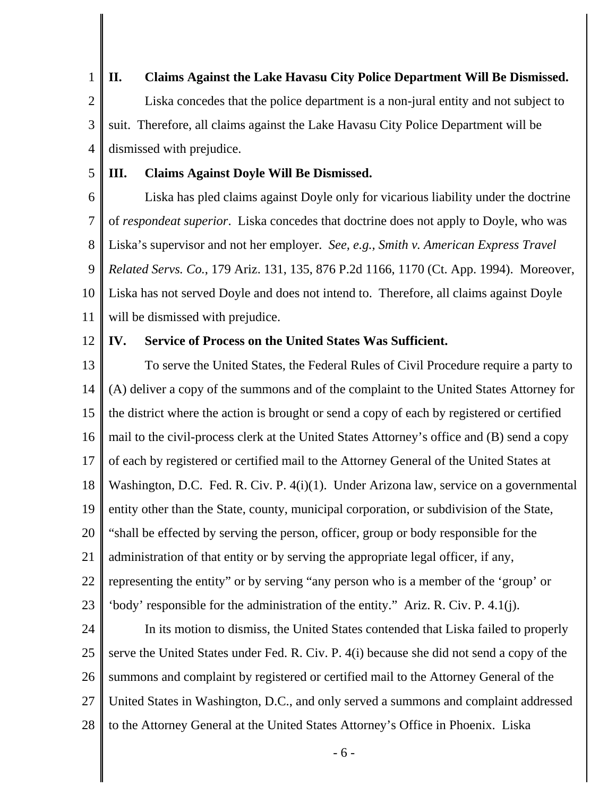1 2 **II. Claims Against the Lake Havasu City Police Department Will Be Dismissed.** Liska concedes that the police department is a non-jural entity and not subject to

3 4 suit. Therefore, all claims against the Lake Havasu City Police Department will be dismissed with prejudice.

5 **III. Claims Against Doyle Will Be Dismissed.**

6 7 8 9 10 11 Liska has pled claims against Doyle only for vicarious liability under the doctrine of *respondeat superior*. Liska concedes that doctrine does not apply to Doyle, who was Liska's supervisor and not her employer. *See, e.g., Smith v. American Express Travel Related Servs. Co.*, 179 Ariz. 131, 135, 876 P.2d 1166, 1170 (Ct. App. 1994). Moreover, Liska has not served Doyle and does not intend to. Therefore, all claims against Doyle will be dismissed with prejudice.

12 **IV. Service of Process on the United States Was Sufficient.**

13 14 15 16 17 18 19 20 21 22 23 To serve the United States, the Federal Rules of Civil Procedure require a party to (A) deliver a copy of the summons and of the complaint to the United States Attorney for the district where the action is brought or send a copy of each by registered or certified mail to the civil-process clerk at the United States Attorney's office and (B) send a copy of each by registered or certified mail to the Attorney General of the United States at Washington, D.C. Fed. R. Civ. P. 4(i)(1). Under Arizona law, service on a governmental entity other than the State, county, municipal corporation, or subdivision of the State, "shall be effected by serving the person, officer, group or body responsible for the administration of that entity or by serving the appropriate legal officer, if any, representing the entity" or by serving "any person who is a member of the 'group' or 'body' responsible for the administration of the entity." Ariz. R. Civ. P. 4.1(j).

24 25 26 27 28 In its motion to dismiss, the United States contended that Liska failed to properly serve the United States under Fed. R. Civ. P. 4(i) because she did not send a copy of the summons and complaint by registered or certified mail to the Attorney General of the United States in Washington, D.C., and only served a summons and complaint addressed to the Attorney General at the United States Attorney's Office in Phoenix. Liska

- 6 -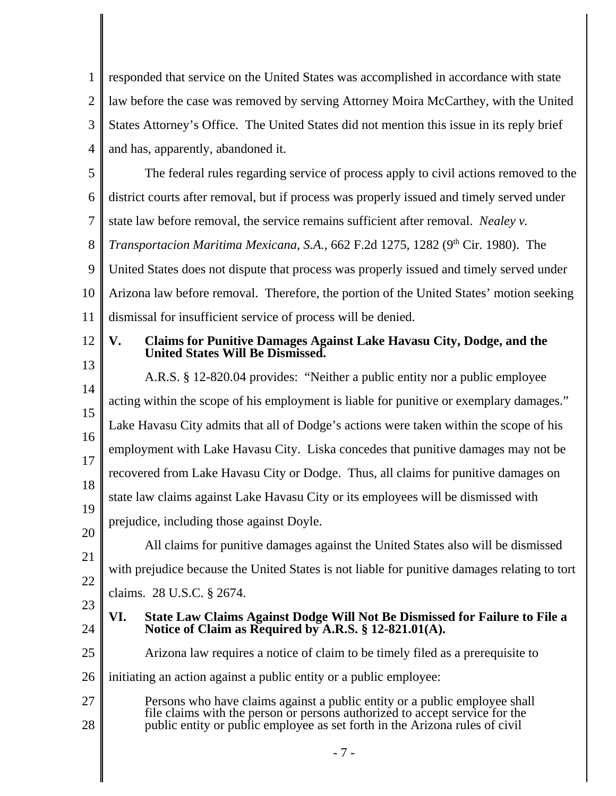1 2 3 4 responded that service on the United States was accomplished in accordance with state law before the case was removed by serving Attorney Moira McCarthey, with the United States Attorney's Office. The United States did not mention this issue in its reply brief and has, apparently, abandoned it.

5 6 7 8 The federal rules regarding service of process apply to civil actions removed to the district courts after removal, but if process was properly issued and timely served under state law before removal, the service remains sufficient after removal. *Nealey v. Transportacion Maritima Mexicana, S.A., 662 F.2d 1275, 1282 (9<sup>th</sup> Cir. 1980). The* 

9 10 11 United States does not dispute that process was properly issued and timely served under Arizona law before removal. Therefore, the portion of the United States' motion seeking dismissal for insufficient service of process will be denied.

#### 12 13 **V. Claims for Punitive Damages Against Lake Havasu City, Dodge, and the United States Will Be Dismissed.**

14 15 16 17 18 19 20 21 A.R.S. § 12-820.04 provides: "Neither a public entity nor a public employee acting within the scope of his employment is liable for punitive or exemplary damages." Lake Havasu City admits that all of Dodge's actions were taken within the scope of his employment with Lake Havasu City. Liska concedes that punitive damages may not be recovered from Lake Havasu City or Dodge. Thus, all claims for punitive damages on state law claims against Lake Havasu City or its employees will be dismissed with prejudice, including those against Doyle. All claims for punitive damages against the United States also will be dismissed

22 with prejudice because the United States is not liable for punitive damages relating to tort claims. 28 U.S.C. § 2674.

23

- **VI. State Law Claims Against Dodge Will Not Be Dismissed for Failure to File a Notice of Claim as Required by A.R.S. § 12-821.01(A).**
- 25 Arizona law requires a notice of claim to be timely filed as a prerequisite to
- 26 initiating an action against a public entity or a public employee:
- 27 28 Persons who have claims against a public entity or a public employee shall file claims with the person or persons authorized to accept service for the public entity or public employee as set forth in the Arizona rules of civil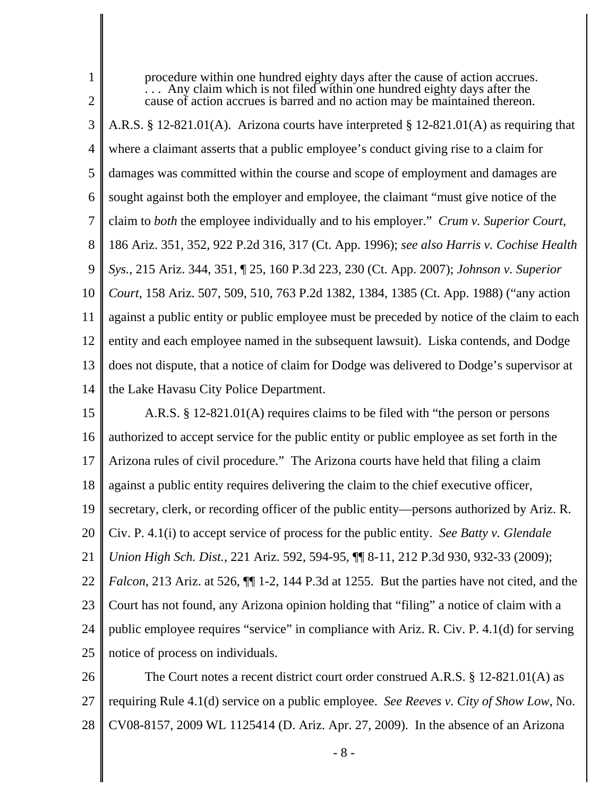2 3 4 5 6 7 8 9 10 11 12 13 14  $\ldots$  Any claim which is not filed within one hundred eighty days after the cause of action accrues is barred and no action may be maintained thereon. A.R.S. § 12-821.01(A). Arizona courts have interpreted § 12-821.01(A) as requiring that where a claimant asserts that a public employee's conduct giving rise to a claim for damages was committed within the course and scope of employment and damages are sought against both the employer and employee, the claimant "must give notice of the claim to *both* the employee individually and to his employer." *Crum v. Superior Court*, 186 Ariz. 351, 352, 922 P.2d 316, 317 (Ct. App. 1996); *see also Harris v. Cochise Health Sys.*, 215 Ariz. 344, 351, ¶ 25, 160 P.3d 223, 230 (Ct. App. 2007); *Johnson v. Superior Court*, 158 Ariz. 507, 509, 510, 763 P.2d 1382, 1384, 1385 (Ct. App. 1988) ("any action against a public entity or public employee must be preceded by notice of the claim to each entity and each employee named in the subsequent lawsuit). Liska contends, and Dodge does not dispute, that a notice of claim for Dodge was delivered to Dodge's supervisor at the Lake Havasu City Police Department.

procedure within one hundred eighty days after the cause of action accrues.

1

15 16 17 18 19 20 21 22 23 24 25 A.R.S. § 12-821.01(A) requires claims to be filed with "the person or persons authorized to accept service for the public entity or public employee as set forth in the Arizona rules of civil procedure." The Arizona courts have held that filing a claim against a public entity requires delivering the claim to the chief executive officer, secretary, clerk, or recording officer of the public entity—persons authorized by Ariz. R. Civ. P. 4.1(i) to accept service of process for the public entity. *See Batty v. Glendale Union High Sch. Dist.*, 221 Ariz. 592, 594-95, ¶¶ 8-11, 212 P.3d 930, 932-33 (2009); *Falcon*, 213 Ariz. at 526,  $\P$  1-2, 144 P.3d at 1255. But the parties have not cited, and the Court has not found, any Arizona opinion holding that "filing" a notice of claim with a public employee requires "service" in compliance with Ariz. R. Civ. P. 4.1(d) for serving notice of process on individuals.

26 27 28 The Court notes a recent district court order construed A.R.S. § 12-821.01(A) as requiring Rule 4.1(d) service on a public employee. *See Reeves v. City of Show Low*, No. CV08-8157, 2009 WL 1125414 (D. Ariz. Apr. 27, 2009). In the absence of an Arizona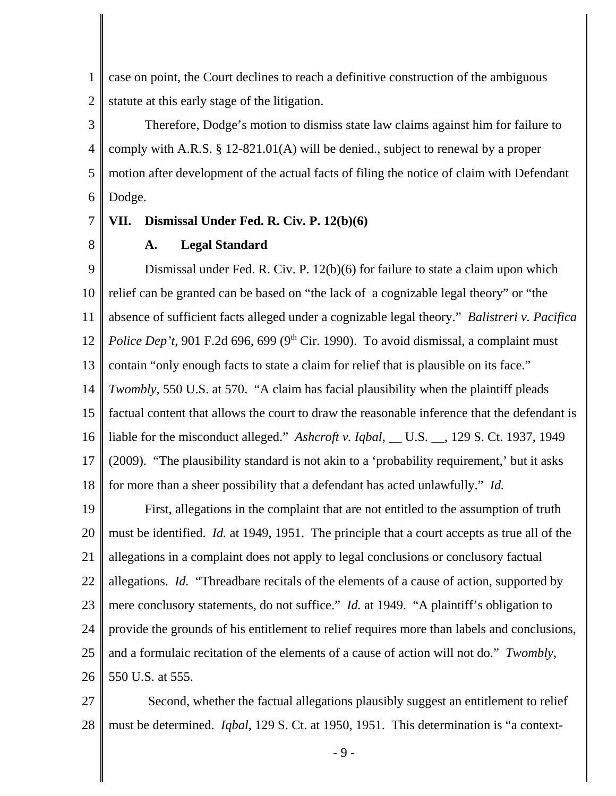1 2 case on point, the Court declines to reach a definitive construction of the ambiguous statute at this early stage of the litigation.

3 4 5 6 Therefore, Dodge's motion to dismiss state law claims against him for failure to comply with A.R.S. § 12-821.01(A) will be denied., subject to renewal by a proper motion after development of the actual facts of filing the notice of claim with Defendant Dodge.

#### 7 **VII. Dismissal Under Fed. R. Civ. P. 12(b)(6)**

8

# **A. Legal Standard**

9 10 11 12 13 14 15 16 17 18 Dismissal under Fed. R. Civ. P. 12(b)(6) for failure to state a claim upon which relief can be granted can be based on "the lack of a cognizable legal theory" or "the absence of sufficient facts alleged under a cognizable legal theory." *Balistreri v. Pacifica Police Dep't*, 901 F.2d 696, 699 (9<sup>th</sup> Cir. 1990). To avoid dismissal, a complaint must contain "only enough facts to state a claim for relief that is plausible on its face." *Twombly*, 550 U.S. at 570. "A claim has facial plausibility when the plaintiff pleads factual content that allows the court to draw the reasonable inference that the defendant is liable for the misconduct alleged." *Ashcroft v. Iqbal*, \_\_ U.S. \_\_, 129 S. Ct. 1937, 1949 (2009). "The plausibility standard is not akin to a 'probability requirement,' but it asks for more than a sheer possibility that a defendant has acted unlawfully." *Id.*

19 20 21 22 23 24 25 26 First, allegations in the complaint that are not entitled to the assumption of truth must be identified. *Id.* at 1949, 1951. The principle that a court accepts as true all of the allegations in a complaint does not apply to legal conclusions or conclusory factual allegations. *Id.* "Threadbare recitals of the elements of a cause of action, supported by mere conclusory statements, do not suffice." *Id.* at 1949. "A plaintiff's obligation to provide the grounds of his entitlement to relief requires more than labels and conclusions, and a formulaic recitation of the elements of a cause of action will not do." *Twombly*, 550 U.S. at 555.

27 28 Second, whether the factual allegations plausibly suggest an entitlement to relief must be determined. *Iqbal*, 129 S. Ct. at 1950, 1951. This determination is "a context-

- 9 -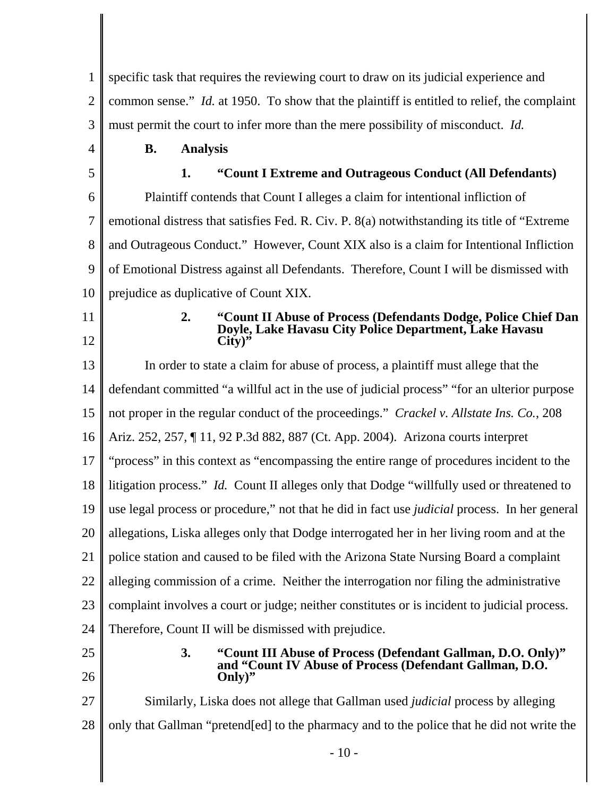1 2 3 4 5 6 7 8 9 10 11 12 13 14 15 16 17 18 19 20 21 22 23 24 25 26 27 28 specific task that requires the reviewing court to draw on its judicial experience and common sense." *Id.* at 1950. To show that the plaintiff is entitled to relief, the complaint must permit the court to infer more than the mere possibility of misconduct. *Id.* **B. Analysis 1. "Count I Extreme and Outrageous Conduct (All Defendants)** Plaintiff contends that Count I alleges a claim for intentional infliction of emotional distress that satisfies Fed. R. Civ. P. 8(a) notwithstanding its title of "Extreme and Outrageous Conduct." However, Count XIX also is a claim for Intentional Infliction of Emotional Distress against all Defendants. Therefore, Count I will be dismissed with prejudice as duplicative of Count XIX. **2. "Count II Abuse of Process (Defendants Dodge, Police Chief Dan Doyle, Lake Havasu City Police Department, Lake Havasu City)"** In order to state a claim for abuse of process, a plaintiff must allege that the defendant committed "a willful act in the use of judicial process" "for an ulterior purpose not proper in the regular conduct of the proceedings." *Crackel v. Allstate Ins. Co.*, 208 Ariz. 252, 257, ¶ 11, 92 P.3d 882, 887 (Ct. App. 2004). Arizona courts interpret "process" in this context as "encompassing the entire range of procedures incident to the litigation process." *Id.* Count II alleges only that Dodge "willfully used or threatened to use legal process or procedure," not that he did in fact use *judicial* process. In her general allegations, Liska alleges only that Dodge interrogated her in her living room and at the police station and caused to be filed with the Arizona State Nursing Board a complaint alleging commission of a crime. Neither the interrogation nor filing the administrative complaint involves a court or judge; neither constitutes or is incident to judicial process. Therefore, Count II will be dismissed with prejudice. **3. "Count III Abuse of Process (Defendant Gallman, D.O. Only)" and "Count IV Abuse of Process (Defendant Gallman, D.O. Only)"** Similarly, Liska does not allege that Gallman used *judicial* process by alleging only that Gallman "pretend[ed] to the pharmacy and to the police that he did not write the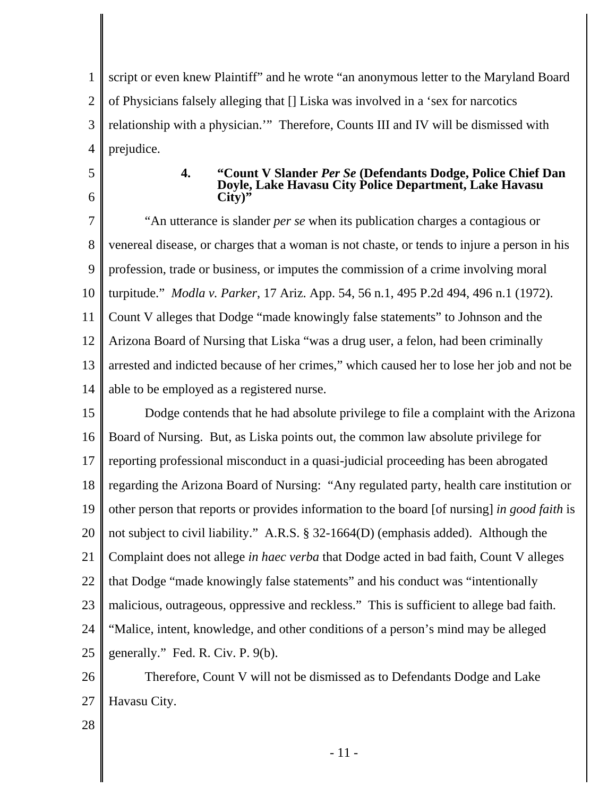1 2 3 4 script or even knew Plaintiff" and he wrote "an anonymous letter to the Maryland Board of Physicians falsely alleging that [] Liska was involved in a 'sex for narcotics relationship with a physician.'" Therefore, Counts III and IV will be dismissed with prejudice.

- 5
- 6

### **4. "Count V Slander** *Per Se* **(Defendants Dodge, Police Chief Dan Doyle, Lake Havasu City Police Department, Lake Havasu City)"**

7 8 9 10 11 12 13 14 "An utterance is slander *per se* when its publication charges a contagious or venereal disease, or charges that a woman is not chaste, or tends to injure a person in his profession, trade or business, or imputes the commission of a crime involving moral turpitude." *Modla v. Parker*, 17 Ariz. App. 54, 56 n.1, 495 P.2d 494, 496 n.1 (1972). Count V alleges that Dodge "made knowingly false statements" to Johnson and the Arizona Board of Nursing that Liska "was a drug user, a felon, had been criminally arrested and indicted because of her crimes," which caused her to lose her job and not be able to be employed as a registered nurse.

15 16 17 18 19 20 21 22 23 24 25 Dodge contends that he had absolute privilege to file a complaint with the Arizona Board of Nursing. But, as Liska points out, the common law absolute privilege for reporting professional misconduct in a quasi-judicial proceeding has been abrogated regarding the Arizona Board of Nursing: "Any regulated party, health care institution or other person that reports or provides information to the board [of nursing] *in good faith* is not subject to civil liability." A.R.S. § 32-1664(D) (emphasis added). Although the Complaint does not allege *in haec verba* that Dodge acted in bad faith, Count V alleges that Dodge "made knowingly false statements" and his conduct was "intentionally malicious, outrageous, oppressive and reckless." This is sufficient to allege bad faith. "Malice, intent, knowledge, and other conditions of a person's mind may be alleged generally." Fed. R. Civ. P. 9(b).

26 27 Therefore, Count V will not be dismissed as to Defendants Dodge and Lake Havasu City.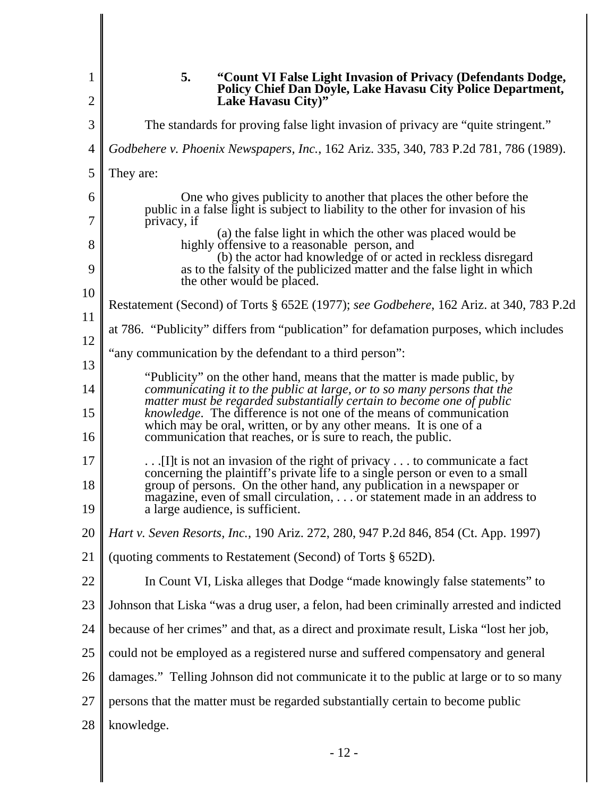|                | 5.<br>"Count VI False Light Invasion of Privacy (Defendants Dodge,<br><b>Policy Chief Dan Doyle, Lake Havasu City Police Department,</b>                                                                                                                                                                                                         |
|----------------|--------------------------------------------------------------------------------------------------------------------------------------------------------------------------------------------------------------------------------------------------------------------------------------------------------------------------------------------------|
| $\overline{2}$ | Lake Havasu City)"                                                                                                                                                                                                                                                                                                                               |
| 3              | The standards for proving false light invasion of privacy are "quite stringent."                                                                                                                                                                                                                                                                 |
| 4              | Godbehere v. Phoenix Newspapers, Inc., 162 Ariz. 335, 340, 783 P.2d 781, 786 (1989).                                                                                                                                                                                                                                                             |
| 5              | They are:                                                                                                                                                                                                                                                                                                                                        |
| 6              | One who gives publicity to another that places the other before the<br>public in a false light is subject to liability to the other for invasion of his                                                                                                                                                                                          |
| 7<br>8         | privacy, if<br>(a) the false light in which the other was placed would be<br>highly offensive to a reasonable person, and                                                                                                                                                                                                                        |
| 9              | (b) the actor had knowledge of or acted in reckless disregard<br>as to the falsity of the publicized matter and the false light in which<br>the other would be placed.                                                                                                                                                                           |
| 10             | Restatement (Second) of Torts § 652E (1977); see Godbehere, 162 Ariz. at 340, 783 P.2d                                                                                                                                                                                                                                                           |
| 11<br>12       | at 786. "Publicity" differs from "publication" for defamation purposes, which includes                                                                                                                                                                                                                                                           |
| 13             | "any communication by the defendant to a third person":                                                                                                                                                                                                                                                                                          |
| 14             | "Publicity" on the other hand, means that the matter is made public, by<br>communicating it to the public at large, or to so many persons that the                                                                                                                                                                                               |
| 15<br>16       | matter must be regarded substantially certain to become one of public<br>knowledge. The difference is not one of the means of communication<br>which may be oral, written, or by any other means. It is one of a<br>communication that reaches, or is sure to reach, the public.                                                                 |
| 17<br>18<br>19 | [I]t is not an invasion of the right of privacy  to communicate a fact<br>concerning the plaintiff's private life to a single person or even to a small<br>group of persons. On the other hand, any publication in a newspaper or<br>magazine, even of small circulation, or statement made in an address to<br>a large audience, is sufficient. |
| 20             | Hart v. Seven Resorts, Inc., 190 Ariz. 272, 280, 947 P.2d 846, 854 (Ct. App. 1997)                                                                                                                                                                                                                                                               |
| 21             | (quoting comments to Restatement (Second) of Torts § 652D).                                                                                                                                                                                                                                                                                      |
| 22             | In Count VI, Liska alleges that Dodge "made knowingly false statements" to                                                                                                                                                                                                                                                                       |
| 23             | Johnson that Liska "was a drug user, a felon, had been criminally arrested and indicted                                                                                                                                                                                                                                                          |
| 24             | because of her crimes" and that, as a direct and proximate result, Liska "lost her job,                                                                                                                                                                                                                                                          |
| 25             | could not be employed as a registered nurse and suffered compensatory and general                                                                                                                                                                                                                                                                |
| 26             | damages." Telling Johnson did not communicate it to the public at large or to so many                                                                                                                                                                                                                                                            |
| 27             | persons that the matter must be regarded substantially certain to become public                                                                                                                                                                                                                                                                  |
| 28             | knowledge.                                                                                                                                                                                                                                                                                                                                       |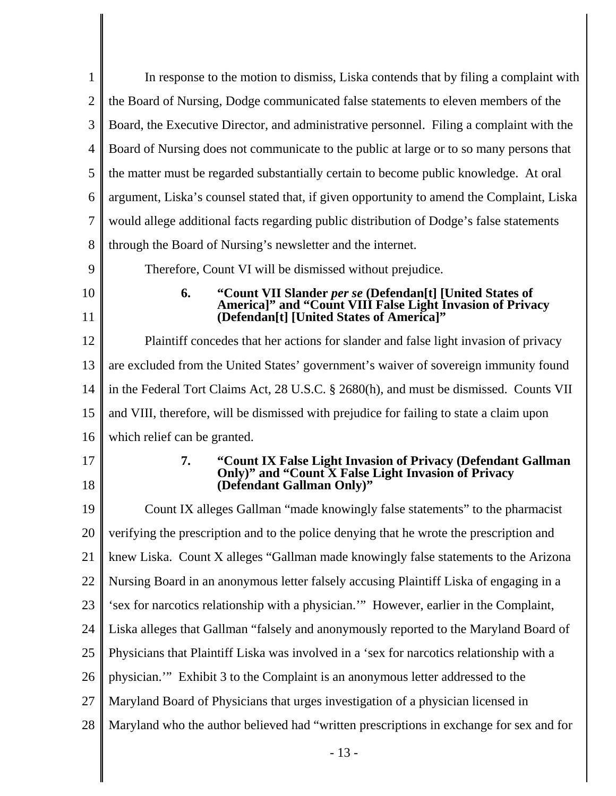| $\mathbf{1}$   | In response to the motion to dismiss, Liska contends that by filing a complaint with                                                                   |
|----------------|--------------------------------------------------------------------------------------------------------------------------------------------------------|
| $\overline{2}$ | the Board of Nursing, Dodge communicated false statements to eleven members of the                                                                     |
| 3              | Board, the Executive Director, and administrative personnel. Filing a complaint with the                                                               |
| $\overline{4}$ | Board of Nursing does not communicate to the public at large or to so many persons that                                                                |
| 5              | the matter must be regarded substantially certain to become public knowledge. At oral                                                                  |
| 6              | argument, Liska's counsel stated that, if given opportunity to amend the Complaint, Liska                                                              |
| $\overline{7}$ | would allege additional facts regarding public distribution of Dodge's false statements                                                                |
| 8              | through the Board of Nursing's newsletter and the internet.                                                                                            |
| 9              | Therefore, Count VI will be dismissed without prejudice.                                                                                               |
| 10             | "Count VII Slander per se (Defendan[t] [United States of<br>America]" and "Count VIII False Light Invasion of Privacy<br>6.                            |
| 11             | (Defendan[t] [United States of America]"                                                                                                               |
| 12             | Plaintiff concedes that her actions for slander and false light invasion of privacy                                                                    |
| 13             | are excluded from the United States' government's waiver of sovereign immunity found                                                                   |
| 14             | in the Federal Tort Claims Act, 28 U.S.C. § 2680(h), and must be dismissed. Counts VII                                                                 |
| 15             | and VIII, therefore, will be dismissed with prejudice for failing to state a claim upon                                                                |
| 16             | which relief can be granted.                                                                                                                           |
| 17<br>18       | "Count IX False Light Invasion of Privacy (Defendant Gallman<br>7.<br>Only)" and "Count X False Light Invasion of Privacy<br>(Defendant Gallman Only)" |
| 19             | Count IX alleges Gallman "made knowingly false statements" to the pharmacist                                                                           |
| 20             | verifying the prescription and to the police denying that he wrote the prescription and                                                                |
| 21             | knew Liska. Count X alleges "Gallman made knowingly false statements to the Arizona                                                                    |
| 22             | Nursing Board in an anonymous letter falsely accusing Plaintiff Liska of engaging in a                                                                 |
| 23             | 'sex for narcotics relationship with a physician." However, earlier in the Complaint,                                                                  |
| 24             | Liska alleges that Gallman "falsely and anonymously reported to the Maryland Board of                                                                  |
| 25             | Physicians that Plaintiff Liska was involved in a 'sex for narcotics relationship with a                                                               |
| 26             | physician." Exhibit 3 to the Complaint is an anonymous letter addressed to the                                                                         |
| 27             | Maryland Board of Physicians that urges investigation of a physician licensed in                                                                       |
| 28             | Maryland who the author believed had "written prescriptions in exchange for sex and for                                                                |
|                |                                                                                                                                                        |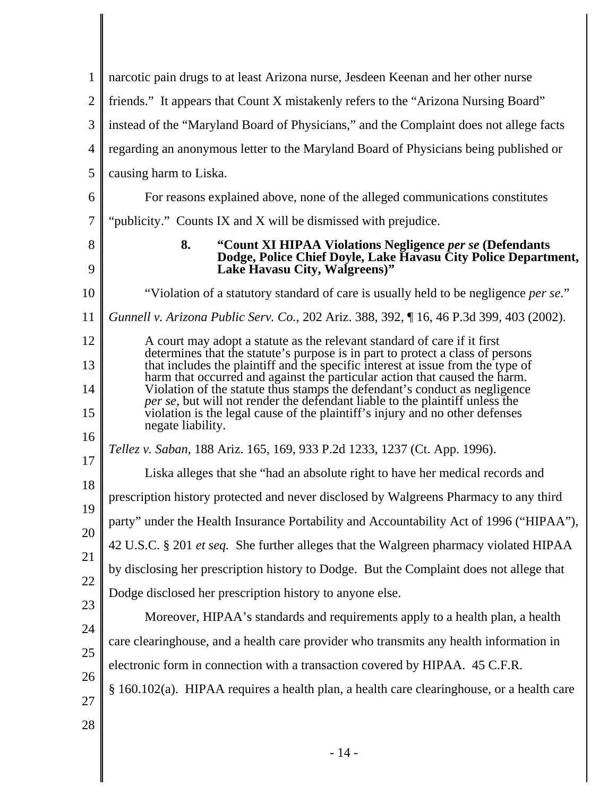| 1              | narcotic pain drugs to at least Arizona nurse, Jesdeen Keenan and her other nurse                                                                                                                                                                  |
|----------------|----------------------------------------------------------------------------------------------------------------------------------------------------------------------------------------------------------------------------------------------------|
| $\overline{2}$ | friends." It appears that Count X mistakenly refers to the "Arizona Nursing Board"                                                                                                                                                                 |
| 3              | instead of the "Maryland Board of Physicians," and the Complaint does not allege facts                                                                                                                                                             |
| 4              | regarding an anonymous letter to the Maryland Board of Physicians being published or                                                                                                                                                               |
| 5              | causing harm to Liska.                                                                                                                                                                                                                             |
| 6              | For reasons explained above, none of the alleged communications constitutes                                                                                                                                                                        |
| 7              | "publicity." Counts IX and X will be dismissed with prejudice.                                                                                                                                                                                     |
| 8<br>9         | 8.<br>"Count XI HIPAA Violations Negligence per se (Defendants<br>Dodge, Police Chief Doyle, Lake Havasu City Police Department,<br>Lake Havasu City, Walgreens)"                                                                                  |
| 10             | "Violation of a statutory standard of care is usually held to be negligence <i>per se.</i> "                                                                                                                                                       |
| 11             | Gunnell v. Arizona Public Serv. Co., 202 Ariz. 388, 392, ¶ 16, 46 P.3d 399, 403 (2002).                                                                                                                                                            |
| 12             | A court may adopt a statute as the relevant standard of care if it first                                                                                                                                                                           |
| 13             | determines that the statute's purpose is in part to protect a class of persons<br>that includes the plaintiff and the specific interest at issue from the type of<br>harm that occurred and against the particular action that caused the harm.    |
| 14<br>15       | Violation of the statute thus stamps the defendant's conduct as negligence<br><i>per se</i> , but will not render the defendant liable to the plaintiff unless the<br>violation is the legal cause of the plaintiff's injury and no other defenses |
| 16             | negate liability.                                                                                                                                                                                                                                  |
| 17             | Tellez v. Saban, 188 Ariz. 165, 169, 933 P.2d 1233, 1237 (Ct. App. 1996).                                                                                                                                                                          |
| 18             | Liska alleges that she "had an absolute right to have her medical records and                                                                                                                                                                      |
| 19             | prescription history protected and never disclosed by Walgreens Pharmacy to any third                                                                                                                                                              |
| 20             | party" under the Health Insurance Portability and Accountability Act of 1996 ("HIPAA"),                                                                                                                                                            |
| 21             | 42 U.S.C. § 201 et seq. She further alleges that the Walgreen pharmacy violated HIPAA                                                                                                                                                              |
| 22             | by disclosing her prescription history to Dodge. But the Complaint does not allege that                                                                                                                                                            |
| 23             | Dodge disclosed her prescription history to anyone else.                                                                                                                                                                                           |
| 24             | Moreover, HIPAA's standards and requirements apply to a health plan, a health                                                                                                                                                                      |
| 25             | care clearinghouse, and a health care provider who transmits any health information in                                                                                                                                                             |
| 26             | electronic form in connection with a transaction covered by HIPAA. 45 C.F.R.                                                                                                                                                                       |
| 27             | § 160.102(a). HIPAA requires a health plan, a health care clearinghouse, or a health care                                                                                                                                                          |
| 28             |                                                                                                                                                                                                                                                    |
|                |                                                                                                                                                                                                                                                    |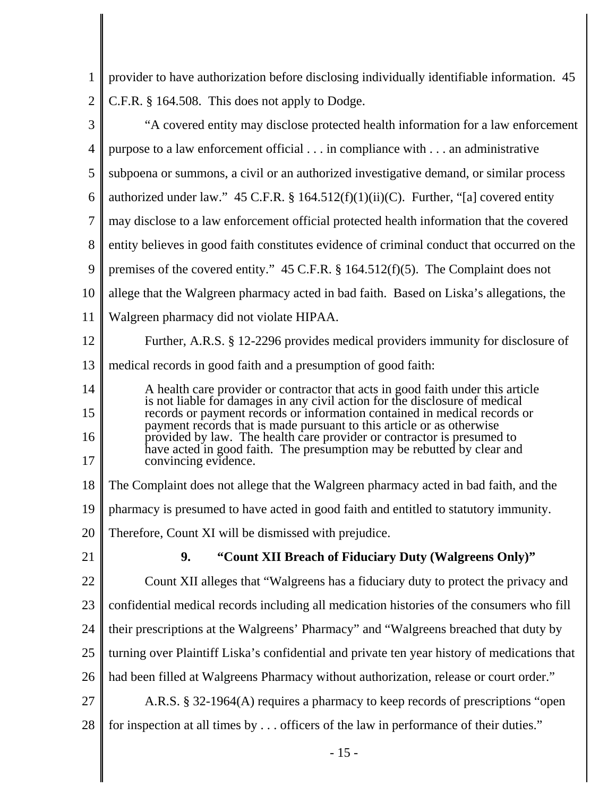| 1              | provider to have authorization before disclosing individually identifiable information. 45                                                                                                                                     |
|----------------|--------------------------------------------------------------------------------------------------------------------------------------------------------------------------------------------------------------------------------|
| $\overline{2}$ | C.F.R. § 164.508. This does not apply to Dodge.                                                                                                                                                                                |
| 3              | "A covered entity may disclose protected health information for a law enforcement                                                                                                                                              |
| $\overline{4}$ | purpose to a law enforcement official in compliance with an administrative                                                                                                                                                     |
| 5              | subpoena or summons, a civil or an authorized investigative demand, or similar process                                                                                                                                         |
| 6              | authorized under law." 45 C.F.R. § 164.512(f)(1)(ii)(C). Further, "[a] covered entity                                                                                                                                          |
| $\overline{7}$ | may disclose to a law enforcement official protected health information that the covered                                                                                                                                       |
| 8              | entity believes in good faith constitutes evidence of criminal conduct that occurred on the                                                                                                                                    |
| 9              | premises of the covered entity." 45 C.F.R. $\S$ 164.512(f)(5). The Complaint does not                                                                                                                                          |
| 10             | allege that the Walgreen pharmacy acted in bad faith. Based on Liska's allegations, the                                                                                                                                        |
| 11             | Walgreen pharmacy did not violate HIPAA.                                                                                                                                                                                       |
| 12             | Further, A.R.S. § 12-2296 provides medical providers immunity for disclosure of                                                                                                                                                |
| 13             | medical records in good faith and a presumption of good faith:                                                                                                                                                                 |
| 14             | A health care provider or contractor that acts in good faith under this article                                                                                                                                                |
| 15             | is not liable for damages in any civil action for the disclosure of medical records or payment records or information contained in medical records or<br>payment records that is made pursuant to this article or as otherwise |
| 16             | provided by law. The health care provider or contractor is presumed to<br>have acted in good faith. The presumption may be rebutted by clear and                                                                               |
| 17             | convincing evidence.                                                                                                                                                                                                           |
| 18             | The Complaint does not allege that the Walgreen pharmacy acted in bad faith, and the                                                                                                                                           |
| 19             | pharmacy is presumed to have acted in good faith and entitled to statutory immunity.                                                                                                                                           |
| 20             | Therefore, Count XI will be dismissed with prejudice.                                                                                                                                                                          |
| 21             | 9.<br>"Count XII Breach of Fiduciary Duty (Walgreens Only)"                                                                                                                                                                    |
| 22             | Count XII alleges that "Walgreens has a fiduciary duty to protect the privacy and                                                                                                                                              |
| 23             | confidential medical records including all medication histories of the consumers who fill                                                                                                                                      |
| 24             | their prescriptions at the Walgreens' Pharmacy" and "Walgreens breached that duty by                                                                                                                                           |
| 25             | turning over Plaintiff Liska's confidential and private ten year history of medications that                                                                                                                                   |
| 26             | had been filled at Walgreens Pharmacy without authorization, release or court order."                                                                                                                                          |
| 27             | A.R.S. § 32-1964(A) requires a pharmacy to keep records of prescriptions "open                                                                                                                                                 |
| 28             | for inspection at all times by officers of the law in performance of their duties."                                                                                                                                            |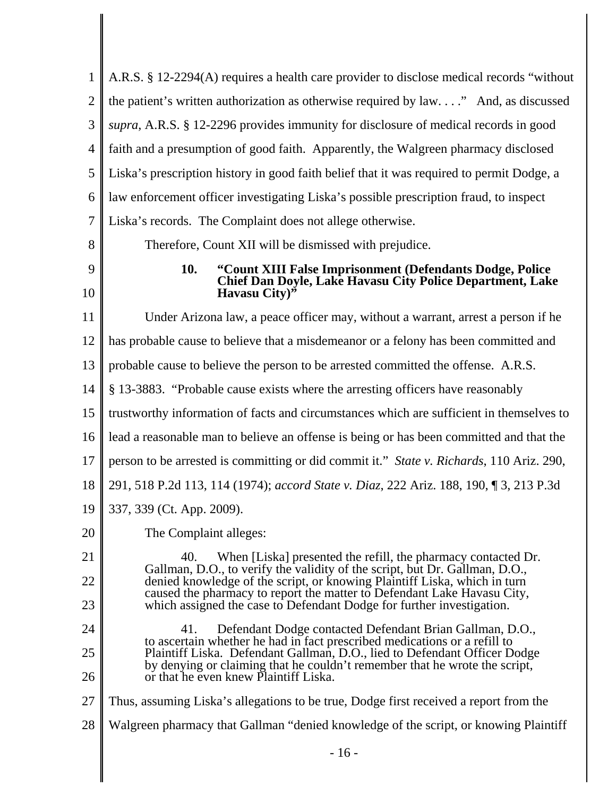| $\mathbf{1}$   | A.R.S. § 12-2294(A) requires a health care provider to disclose medical records "without                                                                                                                                      |
|----------------|-------------------------------------------------------------------------------------------------------------------------------------------------------------------------------------------------------------------------------|
| $\overline{2}$ | the patient's written authorization as otherwise required by law" And, as discussed                                                                                                                                           |
| 3              | supra, A.R.S. § 12-2296 provides immunity for disclosure of medical records in good                                                                                                                                           |
| $\overline{4}$ | faith and a presumption of good faith. Apparently, the Walgreen pharmacy disclosed                                                                                                                                            |
| 5              | Liska's prescription history in good faith belief that it was required to permit Dodge, a                                                                                                                                     |
| 6              | law enforcement officer investigating Liska's possible prescription fraud, to inspect                                                                                                                                         |
| 7              | Liska's records. The Complaint does not allege otherwise.                                                                                                                                                                     |
| 8              | Therefore, Count XII will be dismissed with prejudice.                                                                                                                                                                        |
| 9<br>10        | "Count XIII False Imprisonment (Defendants Dodge, Police<br>10.<br><b>Chief Dan Doyle, Lake Havasu City Police Department, Lake</b><br>Havasu City) <sup>35</sup>                                                             |
| 11             | Under Arizona law, a peace officer may, without a warrant, arrest a person if he                                                                                                                                              |
| 12             | has probable cause to believe that a misdemeanor or a felony has been committed and                                                                                                                                           |
| 13             | probable cause to believe the person to be arrested committed the offense. A.R.S.                                                                                                                                             |
| 14             | § 13-3883. "Probable cause exists where the arresting officers have reasonably                                                                                                                                                |
| 15             | trustworthy information of facts and circumstances which are sufficient in themselves to                                                                                                                                      |
| 16             | lead a reasonable man to believe an offense is being or has been committed and that the                                                                                                                                       |
| 17             | person to be arrested is committing or did commit it." State v. Richards, 110 Ariz. 290,                                                                                                                                      |
| 18             | 291, 518 P.2d 113, 114 (1974); accord State v. Diaz, 222 Ariz. 188, 190, 13, 213 P.3d                                                                                                                                         |
| 19             | 337, 339 (Ct. App. 2009).                                                                                                                                                                                                     |
| 20             | The Complaint alleges:                                                                                                                                                                                                        |
| 21             | 40.<br>When [Liska] presented the refill, the pharmacy contacted Dr.<br>Gallman, D.O., to verify the validity of the script, but Dr. Gallman, D.O.,                                                                           |
| 22<br>23       | denied knowledge of the script, or knowing Plaintiff Liska, which in turn<br>caused the pharmacy to report the matter to Defendant Lake Havasu City,<br>which assigned the case to Defendant Dodge for further investigation. |
| 24<br>25       | Defendant Dodge contacted Defendant Brian Gallman, D.O.,<br>41.<br>to ascertain whether he had in fact prescribed medications or a refill to<br>Plaintiff Liska. Defendant Gallman, D.O., lied to Defendant Officer Dodge     |
| 26             | by denying or claiming that he couldn't remember that he wrote the script,<br>or that he even knew Plaintiff Liska.                                                                                                           |
| 27             | Thus, assuming Liska's allegations to be true, Dodge first received a report from the                                                                                                                                         |
| 28             | Walgreen pharmacy that Gallman "denied knowledge of the script, or knowing Plaintiff                                                                                                                                          |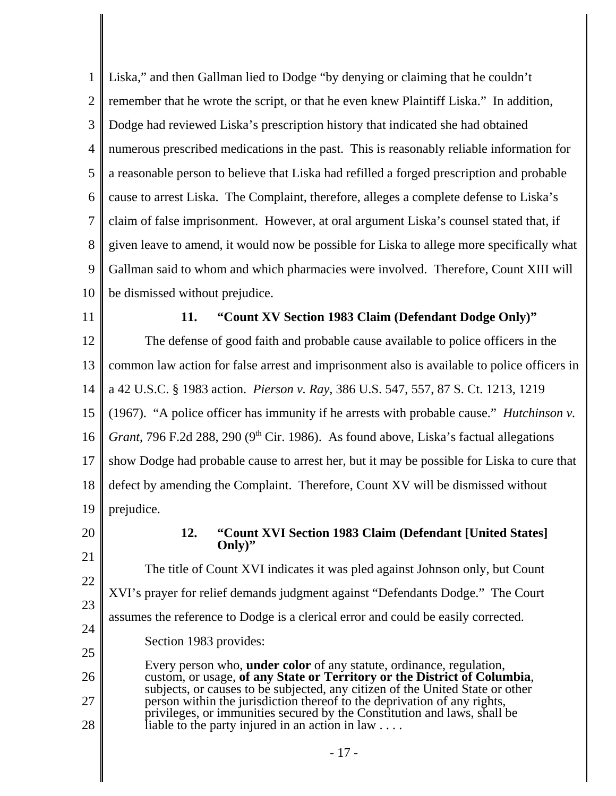1 2 3 4 5 6 7 8 9 10 Liska," and then Gallman lied to Dodge "by denying or claiming that he couldn't remember that he wrote the script, or that he even knew Plaintiff Liska." In addition, Dodge had reviewed Liska's prescription history that indicated she had obtained numerous prescribed medications in the past. This is reasonably reliable information for a reasonable person to believe that Liska had refilled a forged prescription and probable cause to arrest Liska. The Complaint, therefore, alleges a complete defense to Liska's claim of false imprisonment. However, at oral argument Liska's counsel stated that, if given leave to amend, it would now be possible for Liska to allege more specifically what Gallman said to whom and which pharmacies were involved. Therefore, Count XIII will be dismissed without prejudice.

11

# **11. "Count XV Section 1983 Claim (Defendant Dodge Only)"**

12 13 14 15 16 17 18 19 The defense of good faith and probable cause available to police officers in the common law action for false arrest and imprisonment also is available to police officers in a 42 U.S.C. § 1983 action. *Pierson v. Ray*, 386 U.S. 547, 557, 87 S. Ct. 1213, 1219 (1967). "A police officer has immunity if he arrests with probable cause." *Hutchinson v. Grant*, 796 F.2d 288, 290 (9<sup>th</sup> Cir. 1986). As found above, Liska's factual allegations show Dodge had probable cause to arrest her, but it may be possible for Liska to cure that defect by amending the Complaint. Therefore, Count XV will be dismissed without prejudice.

20 21

## **12. "Count XVI Section 1983 Claim (Defendant [United States] Only)"**

22 23 24 The title of Count XVI indicates it was pled against Johnson only, but Count XVI's prayer for relief demands judgment against "Defendants Dodge." The Court assumes the reference to Dodge is a clerical error and could be easily corrected.

Section 1983 provides:

25 26 27 28 Every person who, **under color** of any statute, ordinance, regulation, custom, or usage, of any State or Territory or the District of Columbia, subjects, or causes to be subjected, any citizen of the United State or other person within the jurisdiction thereof to the deprivation of any rights, privileges, or immunities secured by the Constitution and laws, shall be liable to the party injured in an action in law  $\dots$ .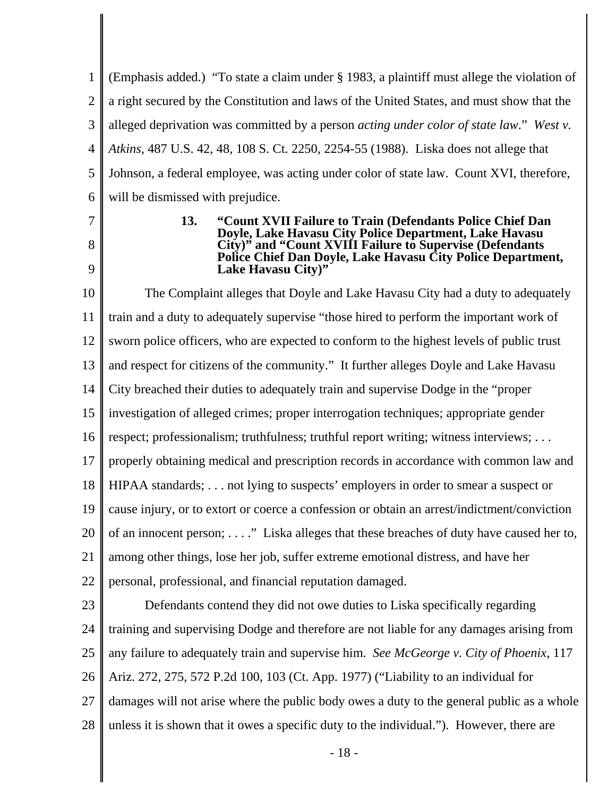1 2 3 4 5 6 (Emphasis added.) "To state a claim under § 1983, a plaintiff must allege the violation of a right secured by the Constitution and laws of the United States, and must show that the alleged deprivation was committed by a person *acting under color of state law*." *West v. Atkins*, 487 U.S. 42, 48, 108 S. Ct. 2250, 2254-55 (1988). Liska does not allege that Johnson, a federal employee, was acting under color of state law. Count XVI, therefore, will be dismissed with prejudice.

7

8

9

#### **13. "Count XVII Failure to Train (Defendants Police Chief Dan Doyle, Lake Havasu City Police Department, Lake Havasu City)" and "Count XVIII Failure to Supervise (Defendants Police Chief Dan Doyle, Lake Havasu City Police Department, Lake Havasu City)"**

10 11 12 13 14 15 16 17 18 19 20 21 22 The Complaint alleges that Doyle and Lake Havasu City had a duty to adequately train and a duty to adequately supervise "those hired to perform the important work of sworn police officers, who are expected to conform to the highest levels of public trust and respect for citizens of the community." It further alleges Doyle and Lake Havasu City breached their duties to adequately train and supervise Dodge in the "proper investigation of alleged crimes; proper interrogation techniques; appropriate gender respect; professionalism; truthfulness; truthful report writing; witness interviews; ... properly obtaining medical and prescription records in accordance with common law and HIPAA standards; . . . not lying to suspects' employers in order to smear a suspect or cause injury, or to extort or coerce a confession or obtain an arrest/indictment/conviction of an innocent person; . . . ." Liska alleges that these breaches of duty have caused her to, among other things, lose her job, suffer extreme emotional distress, and have her personal, professional, and financial reputation damaged.

23 24 25 26 27 28 Defendants contend they did not owe duties to Liska specifically regarding training and supervising Dodge and therefore are not liable for any damages arising from any failure to adequately train and supervise him. *See McGeorge v. City of Phoenix*, 117 Ariz. 272, 275, 572 P.2d 100, 103 (Ct. App. 1977) ("Liability to an individual for damages will not arise where the public body owes a duty to the general public as a whole unless it is shown that it owes a specific duty to the individual."). However, there are

- 18 -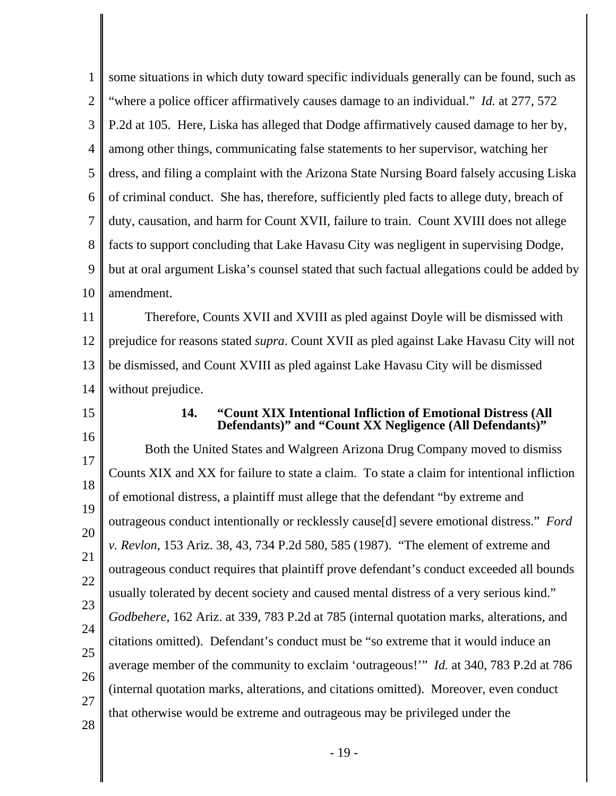| 1                    | some situations in which duty toward specific individuals generally can be found, such as                                      |
|----------------------|--------------------------------------------------------------------------------------------------------------------------------|
| $\overline{2}$       | "where a police officer affirmatively causes damage to an individual." <i>Id.</i> at 277, 572                                  |
| 3                    | P.2d at 105. Here, Liska has alleged that Dodge affirmatively caused damage to her by,                                         |
| 4                    | among other things, communicating false statements to her supervisor, watching her                                             |
| 5                    | dress, and filing a complaint with the Arizona State Nursing Board falsely accusing Liska                                      |
| 6                    | of criminal conduct. She has, therefore, sufficiently pled facts to allege duty, breach of                                     |
| 7                    | duty, causation, and harm for Count XVII, failure to train. Count XVIII does not allege                                        |
| 8                    | facts to support concluding that Lake Havasu City was negligent in supervising Dodge,                                          |
| 9                    | but at oral argument Liska's counsel stated that such factual allegations could be added by                                    |
| 10                   | amendment.                                                                                                                     |
| 11                   | Therefore, Counts XVII and XVIII as pled against Doyle will be dismissed with                                                  |
| 12                   | prejudice for reasons stated <i>supra</i> . Count XVII as pled against Lake Havasu City will not                               |
| 13                   | be dismissed, and Count XVIII as pled against Lake Havasu City will be dismissed                                               |
| 14                   | without prejudice.                                                                                                             |
|                      |                                                                                                                                |
| 15                   | "Count XIX Intentional Infliction of Emotional Distress (All<br>14.<br>Defendants)" and "Count XX Negligence (All Defendants)" |
| 16                   | Both the United States and Walgreen Arizona Drug Company moved to dismiss                                                      |
| 17                   | Counts XIX and XX for failure to state a claim. To state a claim for intentional infliction                                    |
| 18                   | of emotional distress, a plaintiff must allege that the defendant "by extreme and                                              |
| 19                   | outrageous conduct intentionally or recklessly cause[d] severe emotional distress." Ford                                       |
|                      | v. Revlon, 153 Ariz. 38, 43, 734 P.2d 580, 585 (1987). "The element of extreme and                                             |
|                      | outrageous conduct requires that plaintiff prove defendant's conduct exceeded all bounds                                       |
|                      | usually tolerated by decent society and caused mental distress of a very serious kind."                                        |
| 20<br>21<br>22<br>23 | Godbehere, 162 Ariz. at 339, 783 P.2d at 785 (internal quotation marks, alterations, and                                       |
| 24                   | citations omitted). Defendant's conduct must be "so extreme that it would induce an                                            |
|                      | average member of the community to exclaim 'outrageous!'" Id. at 340, 783 P.2d at 786                                          |
| 25<br>26<br>27       | (internal quotation marks, alterations, and citations omitted). Moreover, even conduct                                         |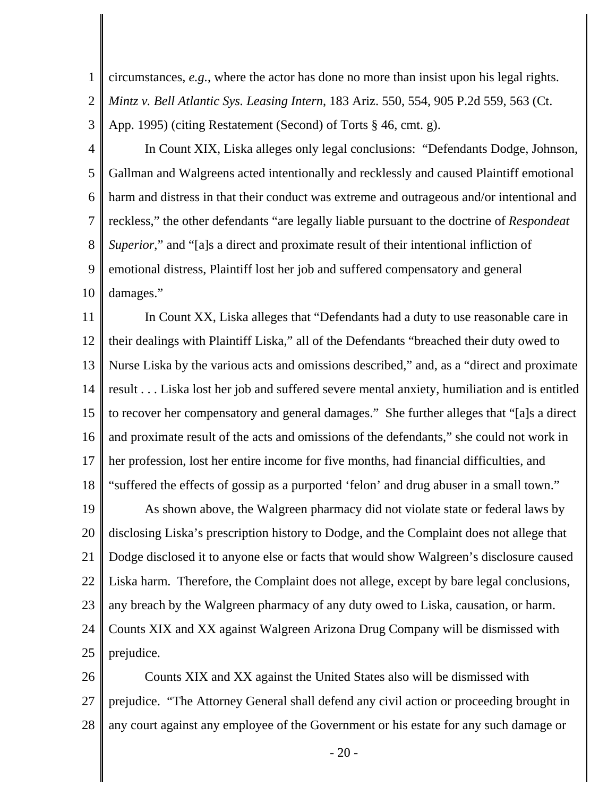1 2 circumstances, *e.g.*, where the actor has done no more than insist upon his legal rights. *Mintz v. Bell Atlantic Sys. Leasing Intern*, 183 Ariz. 550, 554, 905 P.2d 559, 563 (Ct. App. 1995) (citing Restatement (Second) of Torts § 46, cmt. g).

3

4 5 6 7 8 9 10 In Count XIX, Liska alleges only legal conclusions: "Defendants Dodge, Johnson, Gallman and Walgreens acted intentionally and recklessly and caused Plaintiff emotional harm and distress in that their conduct was extreme and outrageous and/or intentional and reckless," the other defendants "are legally liable pursuant to the doctrine of *Respondeat Superior*," and "[a]s a direct and proximate result of their intentional infliction of emotional distress, Plaintiff lost her job and suffered compensatory and general damages."

11 12 13 14 15 16 17 18 In Count XX, Liska alleges that "Defendants had a duty to use reasonable care in their dealings with Plaintiff Liska," all of the Defendants "breached their duty owed to Nurse Liska by the various acts and omissions described," and, as a "direct and proximate result . . . Liska lost her job and suffered severe mental anxiety, humiliation and is entitled to recover her compensatory and general damages." She further alleges that "[a]s a direct and proximate result of the acts and omissions of the defendants," she could not work in her profession, lost her entire income for five months, had financial difficulties, and "suffered the effects of gossip as a purported 'felon' and drug abuser in a small town."

19 20 21 22 23 24 25 As shown above, the Walgreen pharmacy did not violate state or federal laws by disclosing Liska's prescription history to Dodge, and the Complaint does not allege that Dodge disclosed it to anyone else or facts that would show Walgreen's disclosure caused Liska harm. Therefore, the Complaint does not allege, except by bare legal conclusions, any breach by the Walgreen pharmacy of any duty owed to Liska, causation, or harm. Counts XIX and XX against Walgreen Arizona Drug Company will be dismissed with prejudice.

26 27 28 Counts XIX and XX against the United States also will be dismissed with prejudice. "The Attorney General shall defend any civil action or proceeding brought in any court against any employee of the Government or his estate for any such damage or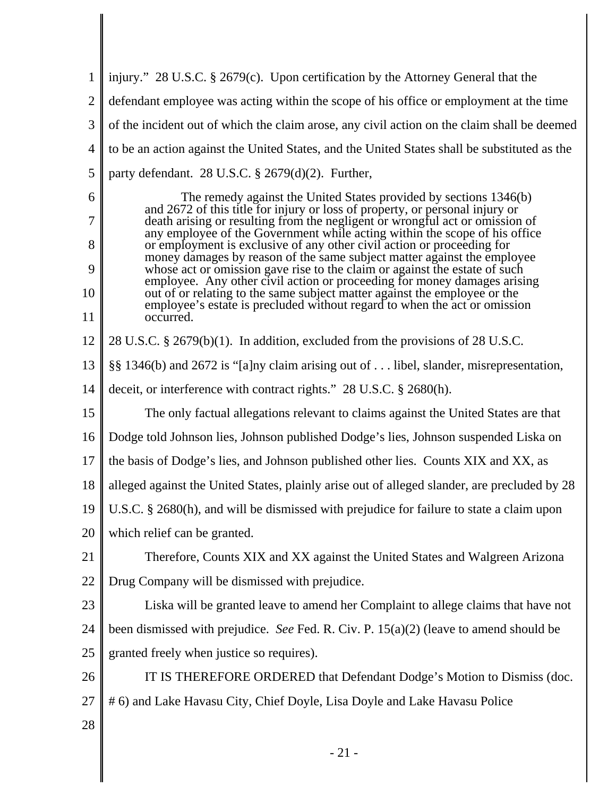1 2 3 4 5 injury." 28 U.S.C. § 2679(c). Upon certification by the Attorney General that the defendant employee was acting within the scope of his office or employment at the time of the incident out of which the claim arose, any civil action on the claim shall be deemed to be an action against the United States, and the United States shall be substituted as the party defendant. 28 U.S.C. § 2679(d)(2). Further,

The remedy against the United States provided by sections 1346(b) and 2672 of this title for injury or loss of property, or personal injury or death arising or resulting from the negligent or wrongful act or omission of any employee of the Government while acting within the scope of his office or employment is exclusive of any other civil action or proceeding for money damages by reason of the same subject matter against the employee whose act or omission gave rise to the claim or against the estate of such employee. Any other civil action or proceeding for money damages arising out of or relating to the same subject matter against the employee or the employee's estate is precluded without regard to when the act or omission occurred.

12 28 U.S.C. § 2679(b)(1). In addition, excluded from the provisions of 28 U.S.C.

13 §§ 1346(b) and 2672 is "[a]ny claim arising out of . . . libel, slander, misrepresentation,

14 deceit, or interference with contract rights." 28 U.S.C. § 2680(h).

15 The only factual allegations relevant to claims against the United States are that

16 Dodge told Johnson lies, Johnson published Dodge's lies, Johnson suspended Liska on

17 the basis of Dodge's lies, and Johnson published other lies. Counts XIX and XX, as

18 alleged against the United States, plainly arise out of alleged slander, are precluded by 28

19 U.S.C. § 2680(h), and will be dismissed with prejudice for failure to state a claim upon

20 which relief can be granted.

21 22 Therefore, Counts XIX and XX against the United States and Walgreen Arizona Drug Company will be dismissed with prejudice.

23 24 25 Liska will be granted leave to amend her Complaint to allege claims that have not been dismissed with prejudice. *See* Fed. R. Civ. P. 15(a)(2) (leave to amend should be granted freely when justice so requires).

26 27 IT IS THEREFORE ORDERED that Defendant Dodge's Motion to Dismiss (doc. # 6) and Lake Havasu City, Chief Doyle, Lisa Doyle and Lake Havasu Police

28

6

7

8

9

10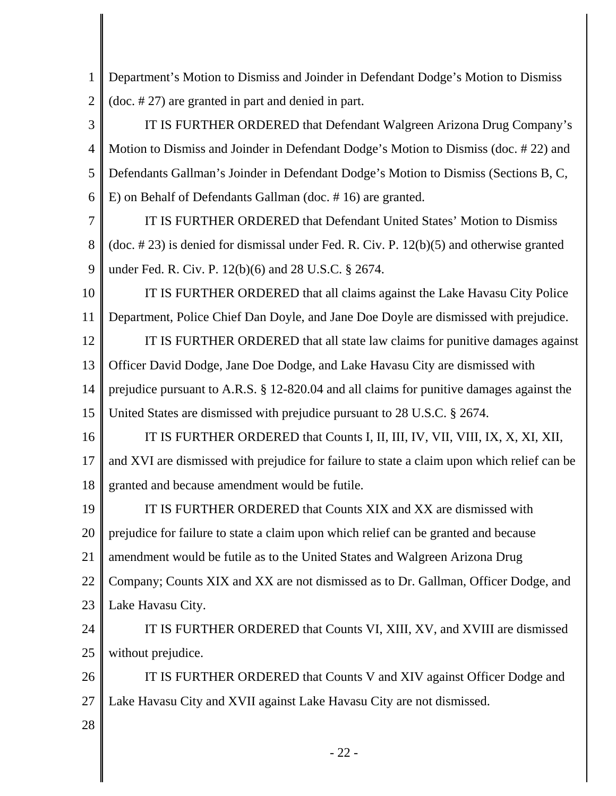1 2 Department's Motion to Dismiss and Joinder in Defendant Dodge's Motion to Dismiss (doc. # 27) are granted in part and denied in part.

3 4 5 6 IT IS FURTHER ORDERED that Defendant Walgreen Arizona Drug Company's Motion to Dismiss and Joinder in Defendant Dodge's Motion to Dismiss (doc. # 22) and Defendants Gallman's Joinder in Defendant Dodge's Motion to Dismiss (Sections B, C, E) on Behalf of Defendants Gallman (doc. # 16) are granted.

7 8 9 IT IS FURTHER ORDERED that Defendant United States' Motion to Dismiss (doc. # 23) is denied for dismissal under Fed. R. Civ. P. 12(b)(5) and otherwise granted under Fed. R. Civ. P. 12(b)(6) and 28 U.S.C. § 2674.

10 11 IT IS FURTHER ORDERED that all claims against the Lake Havasu City Police Department, Police Chief Dan Doyle, and Jane Doe Doyle are dismissed with prejudice.

12 13 14 15 IT IS FURTHER ORDERED that all state law claims for punitive damages against Officer David Dodge, Jane Doe Dodge, and Lake Havasu City are dismissed with prejudice pursuant to A.R.S. § 12-820.04 and all claims for punitive damages against the United States are dismissed with prejudice pursuant to 28 U.S.C. § 2674.

16 17 18 IT IS FURTHER ORDERED that Counts I, II, III, IV, VII, VIII, IX, X, XI, XII, and XVI are dismissed with prejudice for failure to state a claim upon which relief can be granted and because amendment would be futile.

19 20 21 22 23 IT IS FURTHER ORDERED that Counts XIX and XX are dismissed with prejudice for failure to state a claim upon which relief can be granted and because amendment would be futile as to the United States and Walgreen Arizona Drug Company; Counts XIX and XX are not dismissed as to Dr. Gallman, Officer Dodge, and Lake Havasu City.

24 25 IT IS FURTHER ORDERED that Counts VI, XIII, XV, and XVIII are dismissed without prejudice.

26 27 IT IS FURTHER ORDERED that Counts V and XIV against Officer Dodge and Lake Havasu City and XVII against Lake Havasu City are not dismissed.